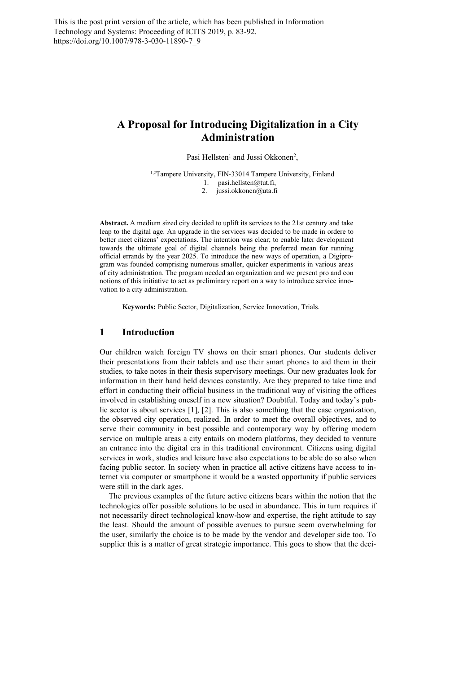# **A Proposal for Introducing Digitalization in a City Administration**

Pasi Hellsten<sup>1</sup> and Jussi Okkonen<sup>2</sup>,

<sup>1,2</sup>Tampere University, FIN-33014 Tampere University, Finland 1. pasi.hellsten@tut.fi, 2. jussi.okkonen@uta.fi

**Abstract.** A medium sized city decided to uplift its services to the 21st century and take leap to the digital age. An upgrade in the services was decided to be made in ordere to better meet citizens' expectations. The intention was clear; to enable later development towards the ultimate goal of digital channels being the preferred mean for running official errands by the year 2025. To introduce the new ways of operation, a Digiprogram was founded comprising numerous smaller, quicker experiments in various areas of city administration. The program needed an organization and we present pro and con notions of this initiative to act as preliminary report on a way to introduce service innovation to a city administration.

**Keywords:** Public Sector, Digitalization, Service Innovation, Trials.

### **1 Introduction**

Our children watch foreign TV shows on their smart phones. Our students deliver their presentations from their tablets and use their smart phones to aid them in their studies, to take notes in their thesis supervisory meetings. Our new graduates look for information in their hand held devices constantly. Are they prepared to take time and effort in conducting their official business in the traditional way of visiting the offices involved in establishing oneself in a new situation? Doubtful. Today and today's public sector is about services [1], [2]. This is also something that the case organization, the observed city operation, realized. In order to meet the overall objectives, and to serve their community in best possible and contemporary way by offering modern service on multiple areas a city entails on modern platforms, they decided to venture an entrance into the digital era in this traditional environment. Citizens using digital services in work, studies and leisure have also expectations to be able do so also when facing public sector. In society when in practice all active citizens have access to internet via computer or smartphone it would be a wasted opportunity if public services were still in the dark ages.

The previous examples of the future active citizens bears within the notion that the technologies offer possible solutions to be used in abundance. This in turn requires if not necessarily direct technological know-how and expertise, the right attitude to say the least. Should the amount of possible avenues to pursue seem overwhelming for the user, similarly the choice is to be made by the vendor and developer side too. To supplier this is a matter of great strategic importance. This goes to show that the deci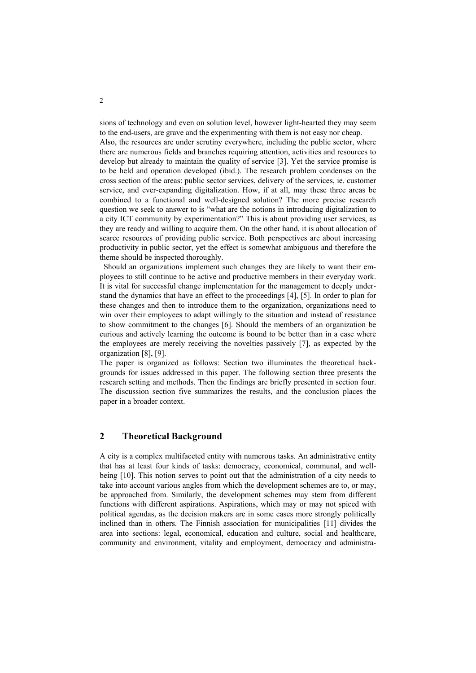sions of technology and even on solution level, however light-hearted they may seem to the end-users, are grave and the experimenting with them is not easy nor cheap.

Also, the resources are under scrutiny everywhere, including the public sector, where there are numerous fields and branches requiring attention, activities and resources to develop but already to maintain the quality of service [3]. Yet the service promise is to be held and operation developed (ibid.). The research problem condenses on the cross section of the areas: public sector services, delivery of the services, ie. customer service, and ever-expanding digitalization. How, if at all, may these three areas be combined to a functional and well-designed solution? The more precise research question we seek to answer to is "what are the notions in introducing digitalization to a city ICT community by experimentation?" This is about providing user services, as they are ready and willing to acquire them. On the other hand, it is about allocation of scarce resources of providing public service. Both perspectives are about increasing productivity in public sector, yet the effect is somewhat ambiguous and therefore the theme should be inspected thoroughly.

 Should an organizations implement such changes they are likely to want their employees to still continue to be active and productive members in their everyday work. It is vital for successful change implementation for the management to deeply understand the dynamics that have an effect to the proceedings [4], [5]. In order to plan for these changes and then to introduce them to the organization, organizations need to win over their employees to adapt willingly to the situation and instead of resistance to show commitment to the changes [6]. Should the members of an organization be curious and actively learning the outcome is bound to be better than in a case where the employees are merely receiving the novelties passively [7], as expected by the organization [8], [9].

The paper is organized as follows: Section two illuminates the theoretical backgrounds for issues addressed in this paper. The following section three presents the research setting and methods. Then the findings are briefly presented in section four. The discussion section five summarizes the results, and the conclusion places the paper in a broader context.

#### **2 Theoretical Background**

A city is a complex multifaceted entity with numerous tasks. An administrative entity that has at least four kinds of tasks: democracy, economical, communal, and wellbeing [10]. This notion serves to point out that the administration of a city needs to take into account various angles from which the development schemes are to, or may, be approached from. Similarly, the development schemes may stem from different functions with different aspirations. Aspirations, which may or may not spiced with political agendas, as the decision makers are in some cases more strongly politically inclined than in others. The Finnish association for municipalities [11] divides the area into sections: legal, economical, education and culture, social and healthcare, community and environment, vitality and employment, democracy and administra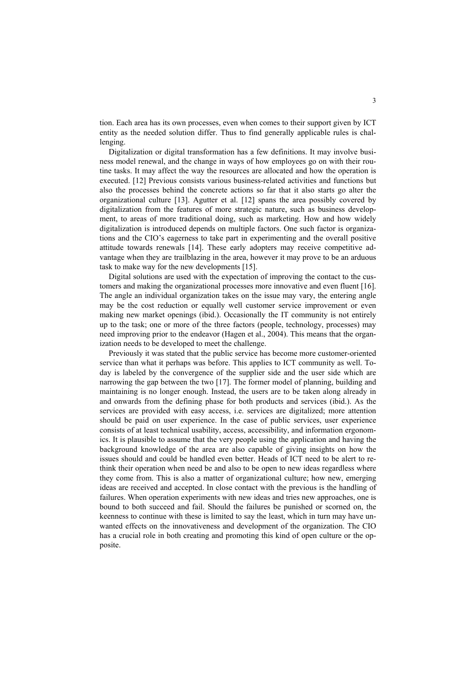tion. Each area has its own processes, even when comes to their support given by ICT entity as the needed solution differ. Thus to find generally applicable rules is challenging.

Digitalization or digital transformation has a few definitions. It may involve business model renewal, and the change in ways of how employees go on with their routine tasks. It may affect the way the resources are allocated and how the operation is executed. [12] Previous consists various business-related activities and functions but also the processes behind the concrete actions so far that it also starts go alter the organizational culture [13]. Agutter et al. [12] spans the area possibly covered by digitalization from the features of more strategic nature, such as business development, to areas of more traditional doing, such as marketing. How and how widely digitalization is introduced depends on multiple factors. One such factor is organizations and the CIO's eagerness to take part in experimenting and the overall positive attitude towards renewals [14]. These early adopters may receive competitive advantage when they are trailblazing in the area, however it may prove to be an arduous task to make way for the new developments [15].

Digital solutions are used with the expectation of improving the contact to the customers and making the organizational processes more innovative and even fluent [16]. The angle an individual organization takes on the issue may vary, the entering angle may be the cost reduction or equally well customer service improvement or even making new market openings (ibid.). Occasionally the IT community is not entirely up to the task; one or more of the three factors (people, technology, processes) may need improving prior to the endeavor (Hagen et al., 2004). This means that the organization needs to be developed to meet the challenge.

Previously it was stated that the public service has become more customer-oriented service than what it perhaps was before. This applies to ICT community as well. Today is labeled by the convergence of the supplier side and the user side which are narrowing the gap between the two [17]. The former model of planning, building and maintaining is no longer enough. Instead, the users are to be taken along already in and onwards from the defining phase for both products and services (ibid.). As the services are provided with easy access, i.e. services are digitalized; more attention should be paid on user experience. In the case of public services, user experience consists of at least technical usability, access, accessibility, and information ergonomics. It is plausible to assume that the very people using the application and having the background knowledge of the area are also capable of giving insights on how the issues should and could be handled even better. Heads of ICT need to be alert to rethink their operation when need be and also to be open to new ideas regardless where they come from. This is also a matter of organizational culture; how new, emerging ideas are received and accepted. In close contact with the previous is the handling of failures. When operation experiments with new ideas and tries new approaches, one is bound to both succeed and fail. Should the failures be punished or scorned on, the keenness to continue with these is limited to say the least, which in turn may have unwanted effects on the innovativeness and development of the organization. The CIO has a crucial role in both creating and promoting this kind of open culture or the opposite.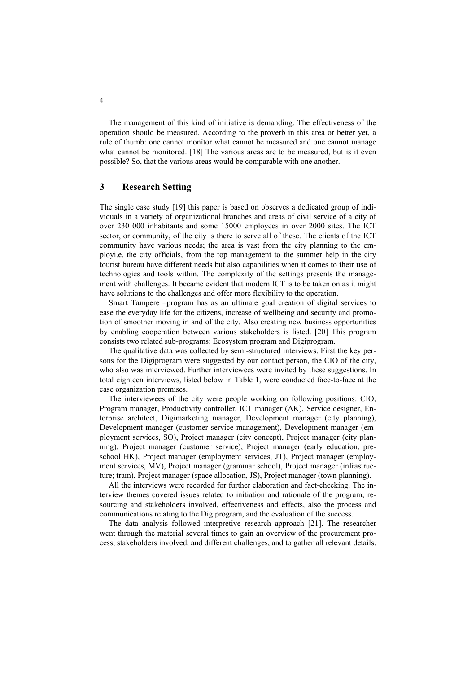The management of this kind of initiative is demanding. The effectiveness of the operation should be measured. According to the proverb in this area or better yet, a rule of thumb: one cannot monitor what cannot be measured and one cannot manage what cannot be monitored. [18] The various areas are to be measured, but is it even possible? So, that the various areas would be comparable with one another.

### **3 Research Setting**

The single case study [19] this paper is based on observes a dedicated group of individuals in a variety of organizational branches and areas of civil service of a city of over 230 000 inhabitants and some 15000 employees in over 2000 sites. The ICT sector, or community, of the city is there to serve all of these. The clients of the ICT community have various needs; the area is vast from the city planning to the employi.e. the city officials, from the top management to the summer help in the city tourist bureau have different needs but also capabilities when it comes to their use of technologies and tools within. The complexity of the settings presents the management with challenges. It became evident that modern ICT is to be taken on as it might have solutions to the challenges and offer more flexibility to the operation.

Smart Tampere –program has as an ultimate goal creation of digital services to ease the everyday life for the citizens, increase of wellbeing and security and promotion of smoother moving in and of the city. Also creating new business opportunities by enabling cooperation between various stakeholders is listed. [20] This program consists two related sub-programs: Ecosystem program and Digiprogram.

The qualitative data was collected by semi-structured interviews. First the key persons for the Digiprogram were suggested by our contact person, the CIO of the city, who also was interviewed. Further interviewees were invited by these suggestions. In total eighteen interviews, listed below in Table 1, were conducted face-to-face at the case organization premises.

The interviewees of the city were people working on following positions: CIO, Program manager, Productivity controller, ICT manager (AK), Service designer, Enterprise architect, Digimarketing manager, Development manager (city planning), Development manager (customer service management), Development manager (employment services, SO), Project manager (city concept), Project manager (city planning), Project manager (customer service), Project manager (early education, preschool HK), Project manager (employment services, JT), Project manager (employment services, MV), Project manager (grammar school), Project manager (infrastructure; tram), Project manager (space allocation, JS), Project manager (town planning).

All the interviews were recorded for further elaboration and fact-checking. The interview themes covered issues related to initiation and rationale of the program, resourcing and stakeholders involved, effectiveness and effects, also the process and communications relating to the Digiprogram, and the evaluation of the success.

The data analysis followed interpretive research approach [21]. The researcher went through the material several times to gain an overview of the procurement process, stakeholders involved, and different challenges, and to gather all relevant details.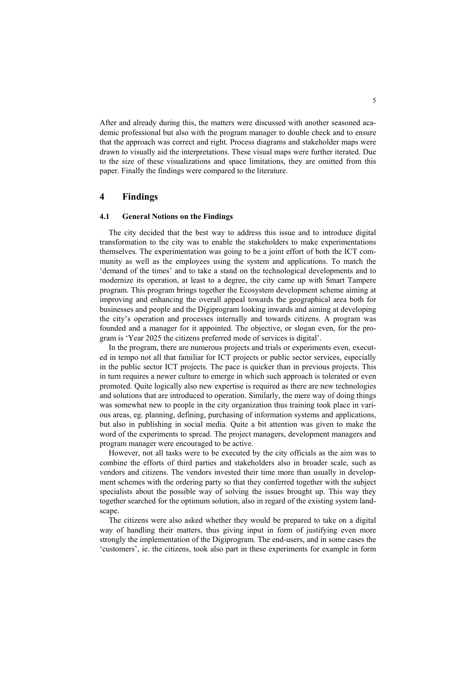After and already during this, the matters were discussed with another seasoned academic professional but also with the program manager to double check and to ensure that the approach was correct and right. Process diagrams and stakeholder maps were drawn to visually aid the interpretations. These visual maps were further iterated. Due to the size of these visualizations and space limitations, they are omitted from this paper. Finally the findings were compared to the literature.

## **4 Findings**

#### **4.1 General Notions on the Findings**

The city decided that the best way to address this issue and to introduce digital transformation to the city was to enable the stakeholders to make experimentations themselves. The experimentation was going to be a joint effort of both the ICT community as well as the employees using the system and applications. To match the 'demand of the times' and to take a stand on the technological developments and to modernize its operation, at least to a degree, the city came up with Smart Tampere program. This program brings together the Ecosystem development scheme aiming at improving and enhancing the overall appeal towards the geographical area both for businesses and people and the Digiprogram looking inwards and aiming at developing the city's operation and processes internally and towards citizens. A program was founded and a manager for it appointed. The objective, or slogan even, for the program is 'Year 2025 the citizens preferred mode of services is digital'.

In the program, there are numerous projects and trials or experiments even, executed in tempo not all that familiar for ICT projects or public sector services, especially in the public sector ICT projects. The pace is quicker than in previous projects. This in turn requires a newer culture to emerge in which such approach is tolerated or even promoted. Quite logically also new expertise is required as there are new technologies and solutions that are introduced to operation. Similarly, the mere way of doing things was somewhat new to people in the city organization thus training took place in various areas, eg. planning, defining, purchasing of information systems and applications, but also in publishing in social media. Quite a bit attention was given to make the word of the experiments to spread. The project managers, development managers and program manager were encouraged to be active.

However, not all tasks were to be executed by the city officials as the aim was to combine the efforts of third parties and stakeholders also in broader scale, such as vendors and citizens. The vendors invested their time more than usually in development schemes with the ordering party so that they conferred together with the subject specialists about the possible way of solving the issues brought up. This way they together searched for the optimum solution, also in regard of the existing system landscape.

The citizens were also asked whether they would be prepared to take on a digital way of handling their matters, thus giving input in form of justifying even more strongly the implementation of the Digiprogram. The end-users, and in some cases the 'customers', ie. the citizens, took also part in these experiments for example in form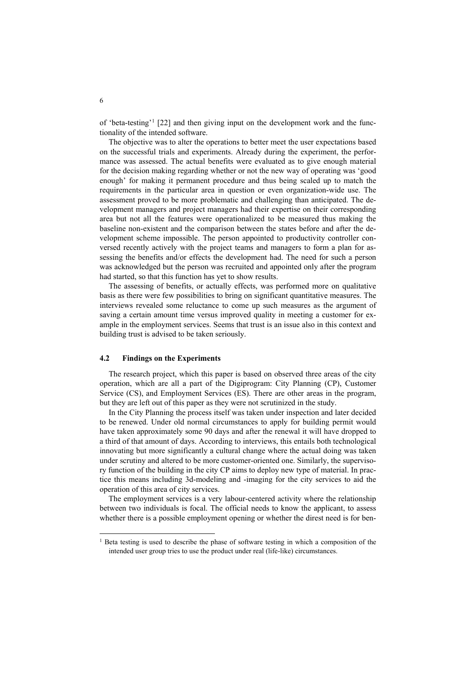of 'beta-testing'[1](#page-5-0) [22] and then giving input on the development work and the functionality of the intended software.

The objective was to alter the operations to better meet the user expectations based on the successful trials and experiments. Already during the experiment, the performance was assessed. The actual benefits were evaluated as to give enough material for the decision making regarding whether or not the new way of operating was 'good enough' for making it permanent procedure and thus being scaled up to match the requirements in the particular area in question or even organization-wide use. The assessment proved to be more problematic and challenging than anticipated. The development managers and project managers had their expertise on their corresponding area but not all the features were operationalized to be measured thus making the baseline non-existent and the comparison between the states before and after the development scheme impossible. The person appointed to productivity controller conversed recently actively with the project teams and managers to form a plan for assessing the benefits and/or effects the development had. The need for such a person was acknowledged but the person was recruited and appointed only after the program had started, so that this function has yet to show results.

The assessing of benefits, or actually effects, was performed more on qualitative basis as there were few possibilities to bring on significant quantitative measures. The interviews revealed some reluctance to come up such measures as the argument of saving a certain amount time versus improved quality in meeting a customer for example in the employment services. Seems that trust is an issue also in this context and building trust is advised to be taken seriously.

#### **4.2 Findings on the Experiments**

The research project, which this paper is based on observed three areas of the city operation, which are all a part of the Digiprogram: City Planning (CP), Customer Service (CS), and Employment Services (ES). There are other areas in the program, but they are left out of this paper as they were not scrutinized in the study.

In the City Planning the process itself was taken under inspection and later decided to be renewed. Under old normal circumstances to apply for building permit would have taken approximately some 90 days and after the renewal it will have dropped to a third of that amount of days. According to interviews, this entails both technological innovating but more significantly a cultural change where the actual doing was taken under scrutiny and altered to be more customer-oriented one. Similarly, the supervisory function of the building in the city CP aims to deploy new type of material. In practice this means including 3d-modeling and -imaging for the city services to aid the operation of this area of city services.

The employment services is a very labour-centered activity where the relationship between two individuals is focal. The official needs to know the applicant, to assess whether there is a possible employment opening or whether the direst need is for ben-

<span id="page-5-0"></span><sup>&</sup>lt;sup>1</sup> Beta testing is used to describe the phase of software testing in which a composition of the intended user group tries to use the product under real (life-like) circumstances.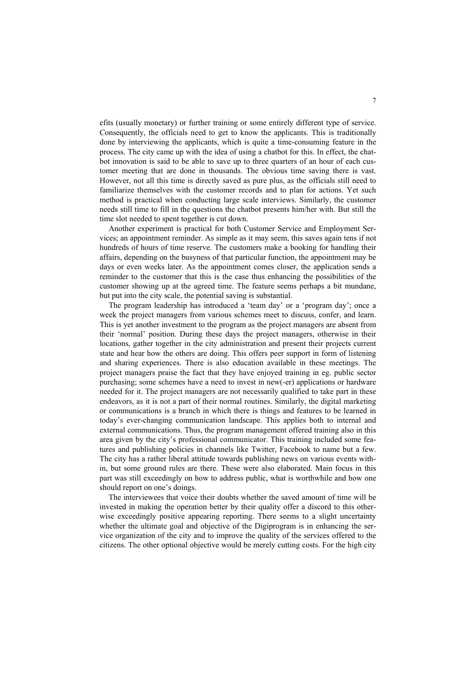efits (usually monetary) or further training or some entirely different type of service. Consequently, the officials need to get to know the applicants. This is traditionally done by interviewing the applicants, which is quite a time-consuming feature in the process. The city came up with the idea of using a chatbot for this. In effect, the chatbot innovation is said to be able to save up to three quarters of an hour of each customer meeting that are done in thousands. The obvious time saving there is vast. However, not all this time is directly saved as pure plus, as the officials still need to familiarize themselves with the customer records and to plan for actions. Yet such method is practical when conducting large scale interviews. Similarly, the customer needs still time to fill in the questions the chatbot presents him/her with. But still the time slot needed to spent together is cut down.

Another experiment is practical for both Customer Service and Employment Services; an appointment reminder. As simple as it may seem, this saves again tens if not hundreds of hours of time reserve. The customers make a booking for handling their affairs, depending on the busyness of that particular function, the appointment may be days or even weeks later. As the appointment comes closer, the application sends a reminder to the customer that this is the case thus enhancing the possibilities of the customer showing up at the agreed time. The feature seems perhaps a bit mundane, but put into the city scale, the potential saving is substantial.

The program leadership has introduced a 'team day' or a 'program day'; once a week the project managers from various schemes meet to discuss, confer, and learn. This is yet another investment to the program as the project managers are absent from their 'normal' position. During these days the project managers, otherwise in their locations, gather together in the city administration and present their projects current state and hear how the others are doing. This offers peer support in form of listening and sharing experiences. There is also education available in these meetings. The project managers praise the fact that they have enjoyed training in eg. public sector purchasing; some schemes have a need to invest in new(-er) applications or hardware needed for it. The project managers are not necessarily qualified to take part in these endeavors, as it is not a part of their normal routines. Similarly, the digital marketing or communications is a branch in which there is things and features to be learned in today's ever-changing communication landscape. This applies both to internal and external communications. Thus, the program management offered training also in this area given by the city's professional communicator. This training included some features and publishing policies in channels like Twitter, Facebook to name but a few. The city has a rather liberal attitude towards publishing news on various events within, but some ground rules are there. These were also elaborated. Main focus in this part was still exceedingly on how to address public, what is worthwhile and how one should report on one's doings.

The interviewees that voice their doubts whether the saved amount of time will be invested in making the operation better by their quality offer a discord to this otherwise exceedingly positive appearing reporting. There seems to a slight uncertainty whether the ultimate goal and objective of the Digiprogram is in enhancing the service organization of the city and to improve the quality of the services offered to the citizens. The other optional objective would be merely cutting costs. For the high city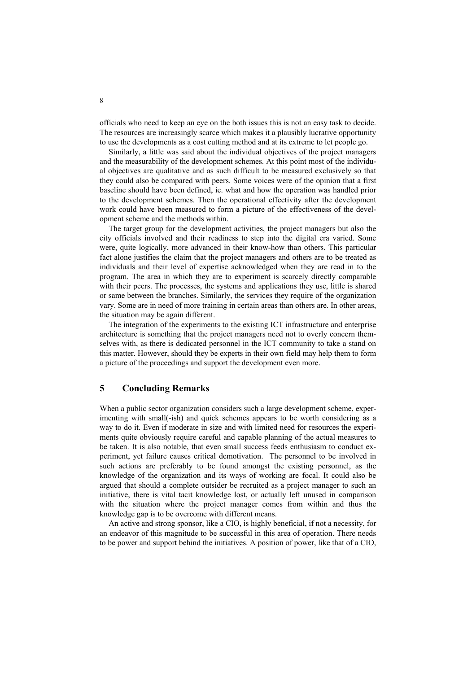officials who need to keep an eye on the both issues this is not an easy task to decide. The resources are increasingly scarce which makes it a plausibly lucrative opportunity to use the developments as a cost cutting method and at its extreme to let people go.

Similarly, a little was said about the individual objectives of the project managers and the measurability of the development schemes. At this point most of the individual objectives are qualitative and as such difficult to be measured exclusively so that they could also be compared with peers. Some voices were of the opinion that a first baseline should have been defined, ie. what and how the operation was handled prior to the development schemes. Then the operational effectivity after the development work could have been measured to form a picture of the effectiveness of the development scheme and the methods within.

The target group for the development activities, the project managers but also the city officials involved and their readiness to step into the digital era varied. Some were, quite logically, more advanced in their know-how than others. This particular fact alone justifies the claim that the project managers and others are to be treated as individuals and their level of expertise acknowledged when they are read in to the program. The area in which they are to experiment is scarcely directly comparable with their peers. The processes, the systems and applications they use, little is shared or same between the branches. Similarly, the services they require of the organization vary. Some are in need of more training in certain areas than others are. In other areas, the situation may be again different.

The integration of the experiments to the existing ICT infrastructure and enterprise architecture is something that the project managers need not to overly concern themselves with, as there is dedicated personnel in the ICT community to take a stand on this matter. However, should they be experts in their own field may help them to form a picture of the proceedings and support the development even more.

#### **5 Concluding Remarks**

When a public sector organization considers such a large development scheme, experimenting with small(-ish) and quick schemes appears to be worth considering as a way to do it. Even if moderate in size and with limited need for resources the experiments quite obviously require careful and capable planning of the actual measures to be taken. It is also notable, that even small success feeds enthusiasm to conduct experiment, yet failure causes critical demotivation. The personnel to be involved in such actions are preferably to be found amongst the existing personnel, as the knowledge of the organization and its ways of working are focal. It could also be argued that should a complete outsider be recruited as a project manager to such an initiative, there is vital tacit knowledge lost, or actually left unused in comparison with the situation where the project manager comes from within and thus the knowledge gap is to be overcome with different means.

An active and strong sponsor, like a CIO, is highly beneficial, if not a necessity, for an endeavor of this magnitude to be successful in this area of operation. There needs to be power and support behind the initiatives. A position of power, like that of a CIO,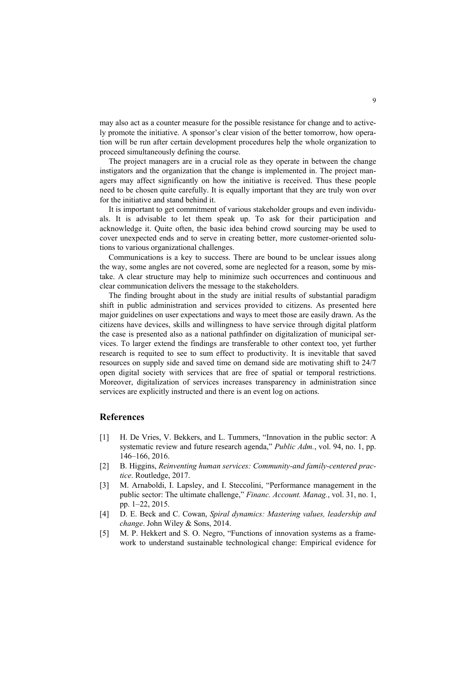may also act as a counter measure for the possible resistance for change and to actively promote the initiative. A sponsor's clear vision of the better tomorrow, how operation will be run after certain development procedures help the whole organization to proceed simultaneously defining the course.

The project managers are in a crucial role as they operate in between the change instigators and the organization that the change is implemented in. The project managers may affect significantly on how the initiative is received. Thus these people need to be chosen quite carefully. It is equally important that they are truly won over for the initiative and stand behind it.

It is important to get commitment of various stakeholder groups and even individuals. It is advisable to let them speak up. To ask for their participation and acknowledge it. Quite often, the basic idea behind crowd sourcing may be used to cover unexpected ends and to serve in creating better, more customer-oriented solutions to various organizational challenges.

Communications is a key to success. There are bound to be unclear issues along the way, some angles are not covered, some are neglected for a reason, some by mistake. A clear structure may help to minimize such occurrences and continuous and clear communication delivers the message to the stakeholders.

The finding brought about in the study are initial results of substantial paradigm shift in public administration and services provided to citizens. As presented here major guidelines on user expectations and ways to meet those are easily drawn. As the citizens have devices, skills and willingness to have service through digital platform the case is presented also as a national pathfinder on digitalization of municipal services. To larger extend the findings are transferable to other context too, yet further research is requited to see to sum effect to productivity. It is inevitable that saved resources on supply side and saved time on demand side are motivating shift to 24/7 open digital society with services that are free of spatial or temporal restrictions. Moreover, digitalization of services increases transparency in administration since services are explicitly instructed and there is an event log on actions.

#### **References**

- [1] H. De Vries, V. Bekkers, and L. Tummers, "Innovation in the public sector: A systematic review and future research agenda," *Public Adm.*, vol. 94, no. 1, pp. 146–166, 2016.
- [2] B. Higgins, *Reinventing human services: Community-and family-centered practice*. Routledge, 2017.
- [3] M. Arnaboldi, I. Lapsley, and I. Steccolini, "Performance management in the public sector: The ultimate challenge," *Financ. Account. Manag.*, vol. 31, no. 1, pp. 1–22, 2015.
- [4] D. E. Beck and C. Cowan, *Spiral dynamics: Mastering values, leadership and change*. John Wiley & Sons, 2014.
- [5] M. P. Hekkert and S. O. Negro, "Functions of innovation systems as a framework to understand sustainable technological change: Empirical evidence for